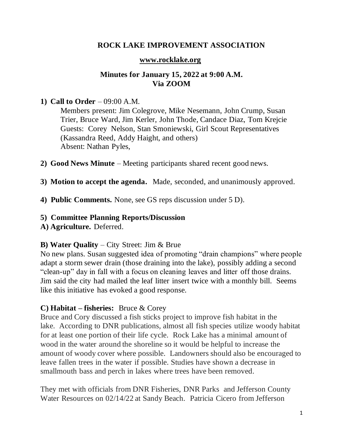# **ROCK LAKE IMPROVEMENT ASSOCIATION**

### **[www.rocklake.org](http://www.rocklake.org/)**

# **Minutes for January 15, 2022 at 9:00 A.M. Via ZOOM**

## **1) Call to Order** – 09:00 A.M.

Members present: Jim Colegrove, Mike Nesemann, John Crump, Susan Trier, Bruce Ward, Jim Kerler, John Thode, Candace Diaz, Tom Krejcie Guests: Corey Nelson, Stan Smoniewski, Girl Scout Representatives (Kassandra Reed, Addy Haight, and others) Absent: Nathan Pyles,

- **2) Good News Minute** Meeting participants shared recent good news.
- **3) Motion to accept the agenda.** Made, seconded, and unanimously approved.
- **4) Public Comments.** None, see GS reps discussion under 5 D).

#### **5) Committee Planning Reports/Discussion**

**A) Agriculture.** Deferred.

## **B) Water Quality** – City Street: Jim & Brue

No new plans. Susan suggested idea of promoting "drain champions" where people adapt a storm sewer drain (those draining into the lake), possibly adding a second "clean-up" day in fall with a focus on cleaning leaves and litter off those drains. Jim said the city had mailed the leaf litter insert twice with a monthly bill. Seems like this initiative has evoked a good response.

## **C) Habitat – fisheries:** Bruce & Corey

Bruce and Cory discussed a fish sticks project to improve fish habitat in the lake. According to DNR publications, almost all fish species utilize woody habitat for at least one portion of their life cycle. Rock Lake has a minimal amount of wood in the water around the shoreline so it would be helpful to increase the amount of woody cover where possible. Landowners should also be encouraged to leave fallen trees in the water if possible. Studies have shown a decrease in smallmouth bass and perch in lakes where trees have been removed.

They met with officials from DNR Fisheries, DNR Parks and Jefferson County Water Resources on 02/14/22 at Sandy Beach. Patricia Cicero from Jefferson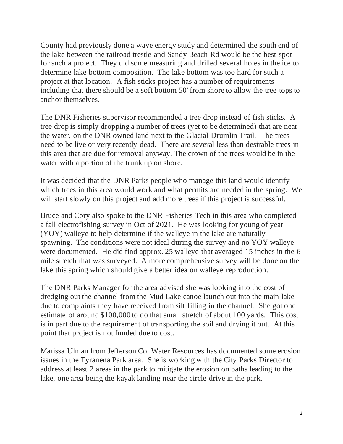County had previously done a wave energy study and determined the south end of the lake between the railroad trestle and Sandy Beach Rd would be the best spot for such a project. They did some measuring and drilled several holes in the ice to determine lake bottom composition. The lake bottom was too hard for such a project at that location. A fish sticks project has a number of requirements including that there should be a soft bottom 50' from shore to allow the tree tops to anchor themselves.

The DNR Fisheries supervisor recommended a tree drop instead of fish sticks. A tree drop is simply dropping a number of trees (yet to be determined) that are near the water, on the DNR owned land next to the Glacial Drumlin Trail. The trees need to be live or very recently dead. There are several less than desirable trees in this area that are due for removal anyway. The crown of the trees would be in the water with a portion of the trunk up on shore.

It was decided that the DNR Parks people who manage this land would identify which trees in this area would work and what permits are needed in the spring. We will start slowly on this project and add more trees if this project is successful.

Bruce and Cory also spoke to the DNR Fisheries Tech in this area who completed a fall electrofishing survey in Oct of 2021. He was looking for young of year (YOY) walleye to help determine if the walleye in the lake are naturally spawning. The conditions were not ideal during the survey and no YOY walleye were documented. He did find approx. 25 walleye that averaged 15 inches in the 6 mile stretch that was surveyed. A more comprehensive survey will be done on the lake this spring which should give a better idea on walleye reproduction.

The DNR Parks Manager for the area advised she was looking into the cost of dredging out the channel from the Mud Lake canoe launch out into the main lake due to complaints they have received from silt filling in the channel. She got one estimate of around \$100,000 to do that small stretch of about 100 yards. This cost is in part due to the requirement of transporting the soil and drying it out. At this point that project is not funded due to cost.

Marissa Ulman from Jefferson Co. Water Resources has documented some erosion issues in the Tyranena Park area. She is working with the City Parks Director to address at least 2 areas in the park to mitigate the erosion on paths leading to the lake, one area being the kayak landing near the circle drive in the park.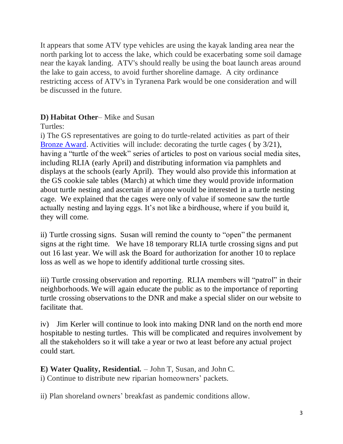It appears that some ATV type vehicles are using the kayak landing area near the north parking lot to access the lake, which could be exacerbating some soil damage near the kayak landing. ATV's should really be using the boat launch areas around the lake to gain access, to avoid further shoreline damage. A city ordinance restricting access of ATV's in Tyranena Park would be one consideration and will be discussed in the future.

# **D) Habitat Other**– Mike and Susan

Turtles:

i) The GS representatives are going to do turtle-related activities as part of their [Bronze Award.](https://www.girlscouts.org/en/members/for-girl-scouts/badges-journeys-awards/highest-awards/bronze-award.html) Activities will include: decorating the turtle cages ( by 3/21), having a "turtle of the week" series of articles to post on various social media sites, including RLIA (early April) and distributing information via pamphlets and displays at the schools (early April). They would also provide this information at the GS cookie sale tables (March) at which time they would provide information about turtle nesting and ascertain if anyone would be interested in a turtle nesting cage. We explained that the cages were only of value if someone saw the turtle actually nesting and laying eggs. It's not like a birdhouse, where if you build it, they will come.

ii) Turtle crossing signs. Susan will remind the county to "open" the permanent signs at the right time. We have 18 temporary RLIA turtle crossing signs and put out 16 last year. We will ask the Board for authorization for another 10 to replace loss as well as we hope to identify additional turtle crossing sites.

iii) Turtle crossing observation and reporting. RLIA members will "patrol" in their neighborhoods. We will again educate the public as to the importance of reporting turtle crossing observations to the DNR and make a special slider on our website to facilitate that.

iv) Jim Kerler will continue to look into making DNR land on the north end more hospitable to nesting turtles. This will be complicated and requires involvement by all the stakeholders so it will take a year or two at least before any actual project could start.

**E) Water Quality, Residential.** – John T, Susan, and John C. i) Continue to distribute new riparian homeowners' packets.

ii) Plan shoreland owners' breakfast as pandemic conditions allow.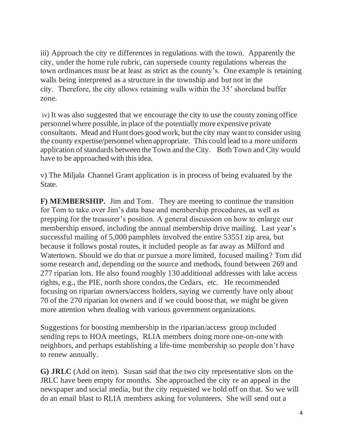iii) Approach the city re differences in regulations with the town. Apparently the city, under the home rule rubric, can supersede county regulations whereas the town ordinances must be at least as strict as the county's. One example is retaining walls being interpreted as a structure in the township and but not in the city. Therefore, the city allows retaining walls within the 35' shoreland buffer zone.

iv) It was also suggested that we encourage the city to use the county zoning office personnel where possible, in place of the potentially more expensive private consultants. Mead and Hunt does good work, but the city may want to consider using the county expertise/personnel when appropriate. This could lead to a more uniform application of standards between the Town and the City. Both Town and City would have to be approached with this idea.

v) The Miljala Channel Grant application is in process of being evaluated by the State.

**F) MEMBERSHIP.** Jim and Tom. They are meeting to continue the transition for Tom to take over Jim's data base and membership procedures, as well as prepping for the treasurer's position. A general discussion on how to enlarge our membership ensued, including the annual membership drive mailing. Last year's successful mailing of 5,000 pamphlets involved the entire 53551 zip area, but because it follows postal routes, it included people as far away as Milford and Watertown. Should we do that or pursue a more limited, focused mailing? Tom did some research and, depending on the source and methods, found between 269 and 277 riparian lots. He also found roughly 130 additional addresses with lake access rights, e.g., the PIE, north shore condos, the Cedars, etc. He recommended focusing on riparian owners/access holders, saying we currently have only about 70 of the 270 riparian lot owners and if we could boost that, we might be given more attention when dealing with various government organizations.

Suggestions for boosting membership in the riparian/access group included sending reps to HOA meetings, RLIA members doing more one-on-one with neighbors, and perhaps establishing a life-time membership so people don't have to renew annually.

**G) JRLC** (Add on item). Susan said that the two city representative slots on the JRLC have been empty for months. She approached the city re an appeal in the newspaper and social media, but the city requested we hold off on that. So we will do an email blast to RLIA members asking for volunteers. She will send out a